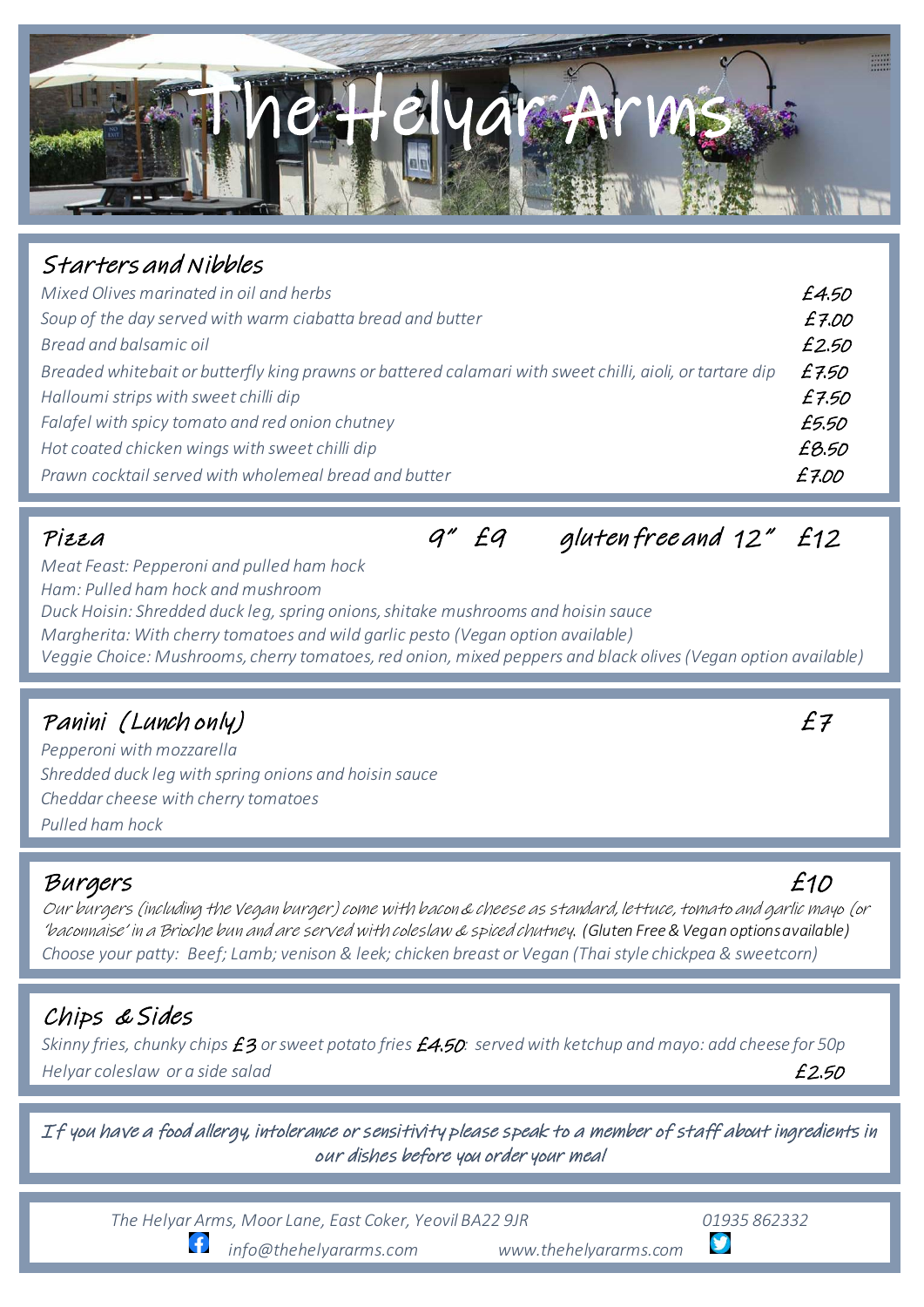

## Starters and Nibbles

| Mixed Olives marinated in oil and herbs                                                                  | £4.50 |
|----------------------------------------------------------------------------------------------------------|-------|
| Soup of the day served with warm ciabatta bread and butter                                               | £7.00 |
| Bread and balsamic oil                                                                                   | £2.50 |
| Breaded whitebait or butterfly king prawns or battered calamari with sweet chilli, aioli, or tartare dip | £7.50 |
| Halloumi strips with sweet chilli dip                                                                    | £7.50 |
| Falafel with spicy tomato and red onion chutney                                                          | £5.50 |
| Hot coated chicken wings with sweet chilli dip                                                           | £8.50 |
| Prawn cocktail served with wholemeal bread and butter                                                    | £7.00 |

Pizza  $q''$   $\epsilon q$  gluten free and  $12''$   $\epsilon 12$ 

*Meat Feast: Pepperoni and pulled ham hock Ham: Pulled ham hock and mushroom Duck Hoisin: Shredded duck leg, spring onions, shitake mushrooms and hoisin sauce Margherita: With cherry tomatoes and wild garlic pesto (Vegan option available) Veggie Choice: Mushrooms, cherry tomatoes, red onion, mixed peppers and black olives (Vegan option available)*

# Panini (Lunch only) £7

*Pepperoni with mozzarella Shredded duck leg with spring onions and hoisin sauce Cheddar cheese with cherry tomatoes Pulled ham hock*

### Burgers £10

Our burgers (including the Vegan burger) come with bacon & cheese as standard, lettuce, tomato and garlic mayo (or 'baconnaise' in a Brioche bun and are served with coleslaw & spiced chutney. *(Gluten Free & Vegan options available) Choose your patty: Beef; Lamb; venison & leek; chicken breast or Vegan (Thai style chickpea & sweetcorn)*

## Chips & Sides

*Skinny fries, chunky chips* £3 *or sweet potato fries* £4.50*: served with ketchup and mayo: add cheese for 50p Helyar coleslaw or a side salad* £2.50

If you have a food allergy, intolerance or sensitivity please speak to a member of staff about ingredients in our dishes before you order your meal

*The Helyar Arms, Moor Lane, East Coker, Yeovil BA22 9JR 01935 862332* 

Æ

 *info@thehelyararms.com www.thehelyararms.com*